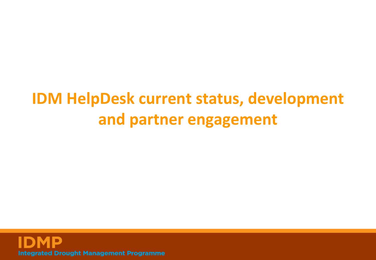#### **IDM HelpDesk current status, development and partner engagement**

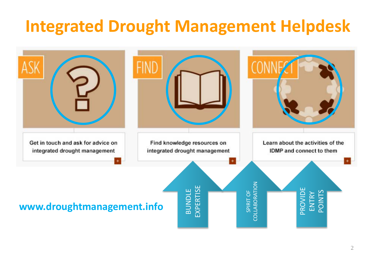### **Integrated Drought Management Helpdesk**

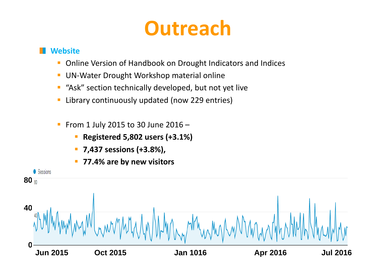## **Outreach**

#### **Website**

- **Online Version of Handbook on Drought Indicators and Indices**
- **UN-Water Drought Workshop material online**
- **"** "Ask" section technically developed, but not yet live
- **Example 229 entinally updated (now 229 entries)**
- From 1 July 2015 to 30 June 2016
	- **Registered 5,802 users (+3.1%)**
	- **7,437 sessions (+3.8%),**
	- **77.4% are by new visitors**

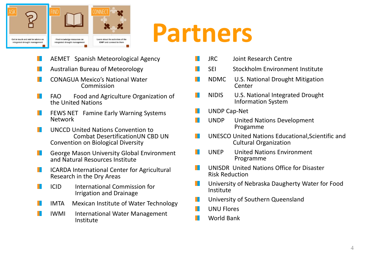

# **Partners**

- AEMET Spanish Meteorological Agency M.
- Australian Bureau of Meteorology ш
- CONAGUA Mexico's National Water Commission H.
- FAO Food and Agriculture Organization of M. the United Nations
- FEWS NET Famine Early Warning Systems H. Network
- UNCCD United Nations Convention to M. Combat DesertificationUN CBD UN Convention on Biological Diversity
- H. George Mason University Global Environment and Natural Resources Institute
- ICARDA International Center for Agricultural Research in the Dry Areas H.
	- ICID International Commission for Irrigation and Drainage

H.

H.

- ш IMTA Mexican Institute of Water Technology
	- IWMI International Water Management Institute
- JRC Joint Research Centre SEI Stockholm Environment Institute NDMC U.S. National Drought Mitigation W Center NIDIS U.S. National Integrated Drought Information System UNDP Cap-Net UNDP United Nations Development Progamme H.
	- UNESCO United Nations Educational,Scientific and Cultural Organization
	- UNEP United Nations Environment Programme
	- UNISDR United Nations Office for Disaster Risk Reduction H.
	- University of Nebraska Daugherty Water for Food Institute
	- University of Southern Queensland
	- UNU Flores H.
	- H. World Bank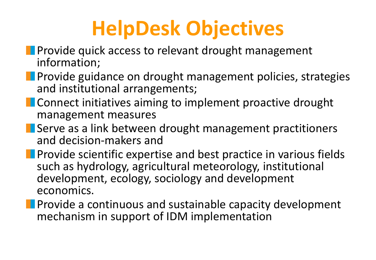# **HelpDesk Objectives**

- **Provide quick access to relevant drought management** information;
- **Provide guidance on drought management policies, strategies** and institutional arrangements;
- **EXCONNUMENT Connect initiatives aiming to implement proactive drought** management measures
- **Serve as a link between drought management practitioners** and decision-makers and
- **Provide scientific expertise and best practice in various fields** such as hydrology, agricultural meteorology, institutional development, ecology, sociology and development economics.
- **Provide a continuous and sustainable capacity development** mechanism in support of IDM implementation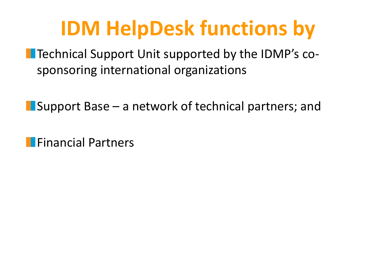# **IDM HelpDesk functions by**

**The Technical Support Unit supported by the IDMP's co**sponsoring international organizations

**I** Support Base – a network of technical partners; and

**Financial Partners**